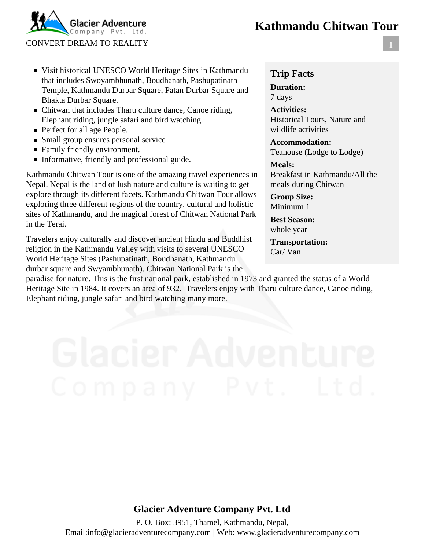## **Kathmandu Chitwan Tour**



#### Visit historical UNESCO World Heritage Sites in Kathmandu that includes Swoyambhunath, Boudhanath, Pashupatinath Temple, Kathmandu Durbar Square, Patan Durbar Square and Bhakta Durbar Square.

- Chitwan that includes Tharu culture dance, Canoe riding, Elephant riding, jungle safari and bird watching.
- **Perfect for all age People.**
- **Small group ensures personal service**
- Family friendly environment.
- Informative, friendly and professional guide.

Kathmandu Chitwan Tour is one of the amazing travel experiences in Nepal. Nepal is the land of lush nature and culture is waiting to get explore through its different facets. Kathmandu Chitwan Tour allows exploring three different regions of the country, cultural and holistic sites of Kathmandu, and the magical forest of Chitwan National Park in the Terai.

Travelers enjoy culturally and discover ancient Hindu and Buddhist religion in the Kathmandu Valley with visits to several UNESCO World Heritage Sites (Pashupatinath, Boudhanath, Kathmandu durbar square and Swyambhunath). Chitwan National Park is the

#### **Trip Facts**

**Duration:** 7 days

**Activities:** Historical Tours, Nature and wildlife activities

**Accommodation:** Teahouse (Lodge to Lodge)

#### **Meals:**

Breakfast in Kathmandu/All the meals during Chitwan

**Group Size:** Minimum 1

**Best Season:** whole year

**Transportation:** Car/ Van

paradise for nature. This is the first national park, established in 1973 and granted the status of a World Heritage Site in 1984. It covers an area of 932. Travelers enjoy with Tharu culture dance, Canoe riding, Elephant riding, jungle safari and bird watching many more.

### **Glacier Adventure Company Pvt. Ltd**

P. O. Box: 3951, Thamel, Kathmandu, Nepal, Email:info@glacieradventurecompany.com | Web: www.glacieradventurecompany.com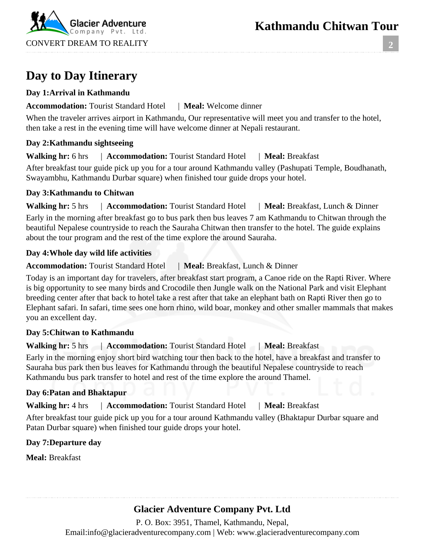**2**



# **Day to Day Itinerary**

#### **Day 1:Arrival in Kathmandu**

#### **Accommodation:** Tourist Standard Hotel | **Meal:** Welcome dinner

When the traveler arrives airport in Kathmandu, Our representative will meet you and transfer to the hotel, then take a rest in the evening time will have welcome dinner at Nepali restaurant.

#### **Day 2:Kathmandu sightseeing**

**Walking hr:** 6 hrs | **Accommodation:** Tourist Standard Hotel | **Meal:** Breakfast

After breakfast tour guide pick up you for a tour around Kathmandu valley (Pashupati Temple, Boudhanath, Swayambhu, Kathmandu Durbar square) when finished tour guide drops your hotel.

#### **Day 3:Kathmandu to Chitwan**

**Walking hr:** 5 hrs | **Accommodation:** Tourist Standard Hotel | **Meal:** Breakfast, Lunch & Dinner Early in the morning after breakfast go to bus park then bus leaves 7 am Kathmandu to Chitwan through the beautiful Nepalese countryside to reach the Sauraha Chitwan then transfer to the hotel. The guide explains about the tour program and the rest of the time explore the around Sauraha.

#### **Day 4:Whole day wild life activities**

#### **Accommodation:** Tourist Standard Hotel | **Meal:** Breakfast, Lunch & Dinner

Today is an important day for travelers, after breakfast start program, a Canoe ride on the Rapti River. Where is big opportunity to see many birds and Crocodile then Jungle walk on the National Park and visit Elephant breeding center after that back to hotel take a rest after that take an elephant bath on Rapti River then go to Elephant safari. In safari, time sees one horn rhino, wild boar, monkey and other smaller mammals that makes you an excellent day.

#### **Day 5:Chitwan to Kathmandu**

### **Walking hr:** 5 hrs | **Accommodation:** Tourist Standard Hotel | **Meal:** Breakfast

Early in the morning enjoy short bird watching tour then back to the hotel, have a breakfast and transfer to Sauraha bus park then bus leaves for Kathmandu through the beautiful Nepalese countryside to reach Kathmandu bus park transfer to hotel and rest of the time explore the around Thamel.

#### **Day 6:Patan and Bhaktapur**

**Walking hr:** 4 hrs | **Accommodation:** Tourist Standard Hotel | **Meal:** Breakfast

After breakfast tour guide pick up you for a tour around Kathmandu valley (Bhaktapur Durbar square and Patan Durbar square) when finished tour guide drops your hotel.

#### **Day 7:Departure day**

**Meal:** Breakfast

## **Glacier Adventure Company Pvt. Ltd**

P. O. Box: 3951, Thamel, Kathmandu, Nepal, Email:info@glacieradventurecompany.com | Web: www.glacieradventurecompany.com